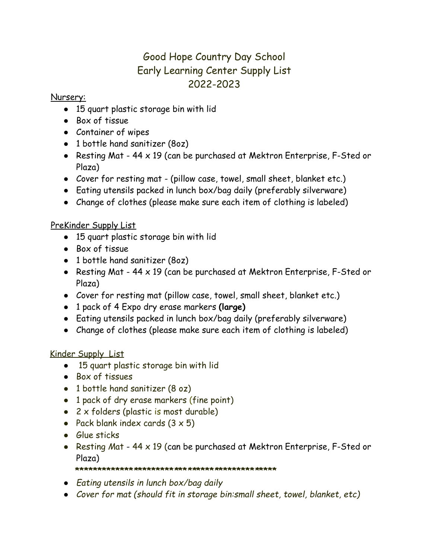# Good Hope Country Day School Early Learning Center Supply List 2022-2023

## Nursery:

- 15 quart plastic storage bin with lid
- Box of tissue
- Container of wipes
- 1 bottle hand sanitizer (8oz)
- Resting Mat 44 x 19 (can be purchased at Mektron Enterprise, F-Sted or Plaza)
- Cover for resting mat (pillow case, towel, small sheet, blanket etc.)
- Eating utensils packed in lunch box/bag daily (preferably silverware)
- Change of clothes (please make sure each item of clothing is labeled)

# PreKinder Supply List

- 15 quart plastic storage bin with lid
- Box of tissue
- 1 bottle hand sanitizer (8oz)
- Resting Mat 44 x 19 (can be purchased at Mektron Enterprise, F-Sted or Plaza)
- Cover for resting mat (pillow case, towel, small sheet, blanket etc.)
- 1 pack of 4 Expo dry erase markers **(large)**
- Eating utensils packed in lunch box/bag daily (preferably silverware)
- Change of clothes (please make sure each item of clothing is labeled)

## Kinder Supply List

- 15 quart plastic storage bin with lid
- Box of tissues
- 1 bottle hand sanitizer (8 oz)
- 1 pack of dry erase markers (fine point)
- $\bullet$  2 x folders (plastic is most durable)
- Pack blank index cards  $(3 \times 5)$
- Glue sticks
- Resting *M*at 44 x 19 (can be purchased at Mektron Enterprise, F-Sted or Plaza)

#### **\*\*\*\*\*\*\*\*\*\*\*\*\****\****\*\*\*\*\*\*\*\****\****\*\****\*\****\*\*\*\****\****\*\*\*\*\*\*\*\****\****\*\*\*\***

- *● Eating utensils in lunch box/bag daily*
- *● Cover for mat (should fit in storage bin:small sheet, towel, blanket, etc)*